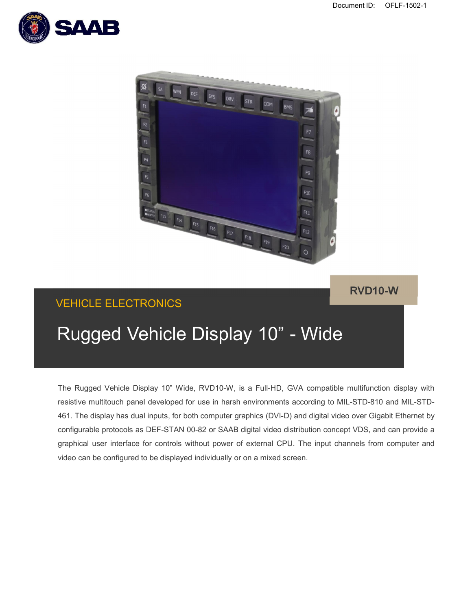



**RVD10-W**

# VEHICLE ELECTRONICS

# Rugged Vehicle Display 10" - Wide

The Rugged Vehicle Display 10" Wide, RVD10-W, is a Full-HD, GVA compatible multifunction display with resistive multitouch panel developed for use in harsh environments according to MIL-STD-810 and MIL-STD-461. The display has dual inputs, for both computer graphics (DVI-D) and digital video over Gigabit Ethernet by configurable protocols as DEF-STAN 00-82 or SAAB digital video distribution concept VDS, and can provide a graphical user interface for controls without power of external CPU. The input channels from computer and video can be configured to be displayed individually or on a mixed screen.